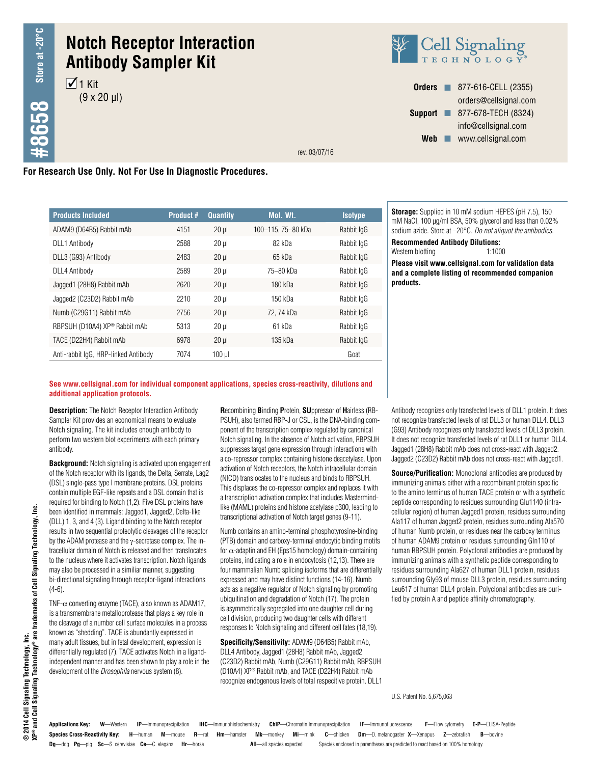## **Notch Receptor Interaction Antibody Sampler Kit**

 $\overline{1}$  1 Kit  $(9 \times 20 \text{ µ})$ 



**Orders n** 877-616-CELL (2355) orders@cellsignal.com **Support n** 877-678-TECH (8324) info@cellsignal.com **Web www.cellsignal.com** 

rev. 03/07/16

## **For Research Use Only. Not For Use In Diagnostic Procedures.**

| <b>Products Included</b>             | <b>Product #</b> | <b>Quantity</b> | Mol. Wt.           | <b>Isotype</b> |
|--------------------------------------|------------------|-----------------|--------------------|----------------|
| ADAM9 (D64B5) Rabbit mAb             | 4151             | $20$ $\mu$      | 100-115, 75-80 kDa | Rabbit IgG     |
| <b>DLL1 Antibody</b>                 | 2588             | $20$ $\mu$      | 82 kDa             | Rabbit IgG     |
| DLL3 (G93) Antibody                  | 2483             | $20$ $\mu$      | 65 kDa             | Rabbit IgG     |
| <b>DLL4 Antibody</b>                 | 2589             | $20 \mu$        | 75-80 kDa          | Rabbit IgG     |
| Jagged1 (28H8) Rabbit mAb            | 2620             | $20$ $\mu$      | 180 kDa            | Rabbit IgG     |
| Jagged2 (C23D2) Rabbit mAb           | 2210             | $20$ $\mu$      | 150 kDa            | Rabbit IgG     |
| Numb (C29G11) Rabbit mAb             | 2756             | $20$ $\mu$      | 72.74 kDa          | Rabbit IgG     |
| RBPSUH (D10A4) XP® Rabbit mAb        | 5313             | $20$ $\mu$      | 61 kDa             | Rabbit IgG     |
| TACE (D22H4) Rabbit mAb              | 6978             | $20 \mu$        | 135 kDa            | Rabbit IgG     |
| Anti-rabbit IgG, HRP-linked Antibody | 7074             | $100$ $\mu$     |                    | Goat           |

**Storage:** Supplied in 10 mM sodium HEPES (pH 7.5), 150 mM NaCl, 100 µg/ml BSA, 50% glycerol and less than 0.02% sodium azide. Store at –20°C. *Do not aliquot the antibodies.*

**Recommended Antibody Dilutions:** Western blotting 1:1000

**Please visit www.cellsignal.com for validation data and a complete listing of recommended companion products.**

## **See www.cellsignal.com for individual component applications, species cross-reactivity, dilutions and additional application protocols.**

**Description:** The Notch Receptor Interaction Antibody Sampler Kit provides an economical means to evaluate Notch signaling. The kit includes enough antibody to perform two western blot experiments with each primary antibody.

**Background:** Notch signaling is activated upon engagement of the Notch receptor with its ligands, the Delta, Serrate, Lag2 (DSL) single-pass type I membrane proteins. DSL proteins contain multiple EGF-like repeats and a DSL domain that is required for binding to Notch (1,2). Five DSL proteins have been identified in mammals: Jagged1, Jagged2, Delta-like (DLL) 1, 3, and 4 (3). Ligand binding to the Notch receptor results in two sequential proteolytic cleavages of the receptor by the ADAM protease and the γ-secretase complex. The intracellular domain of Notch is released and then translocates to the nucleus where it activates transcription. Notch ligands may also be processed in a similiar manner, suggesting bi-directional signaling through receptor-ligand interactions  $(4-6)$ 

TNF- $\alpha$  converting enzyme (TACE), also known as ADAM17, is a transmembrane metalloprotease that plays a key role in the cleavage of a number cell surface molecules in a process known as "shedding". TACE is abundantly expressed in many adult tissues, but in fetal development, expression is differentially regulated (7). TACE activates Notch in a ligandindependent manner and has been shown to play a role in the development of the *Drosophila* nervous system (8).

**R**ecombining **B**inding **P**rotein, **SU**ppressor of **H**airless (RB-PSUH), also termed RBP-J or CSL, is the DNA-binding component of the transcription complex regulated by canonical Notch signaling. In the absence of Notch activation, RBPSUH suppresses target gene expression through interactions with a co-repressor complex containing histone deacetylase. Upon activation of Notch receptors, the Notch intracellular domain (NICD) translocates to the nucleus and binds to RBPSUH. This displaces the co-repressor complex and replaces it with a transcription activation complex that includes Mastermindlike (MAML) proteins and histone acetylase p300, leading to transcriptional activation of Notch target genes (9-11).

Numb contains an amino-terminal phosphotyrosine-binding (PTB) domain and carboxy-terminal endocytic binding motifs for α-adaptin and EH (Eps15 homology) domain-containing proteins, indicating a role in endocytosis (12,13). There are four mammalian Numb splicing isoforms that are differentially expressed and may have distinct functions (14-16). Numb acts as a negative regulator of Notch signaling by promoting ubiquitination and degradation of Notch (17). The protein is asymmetrically segregated into one daughter cell during cell division, producing two daughter cells with different responses to Notch signaling and different cell fates (18,19).

**Specificity/Sensitivity:** ADAM9 (D64B5) Rabbit mAb, DLL4 Antibody, Jagged1 (28H8) Rabbit mAb, Jagged2 (C23D2) Rabbit mAb, Numb (C29G11) Rabbit mAb, RBPSUH (D10A4) XP® Rabbit mAb, and TACE (D22H4) Rabbit mAb recognize endogenous levels of total respecitive protein. DLL1 Antibody recognizes only transfected levels of DLL1 protein. It does not recognize transfected levels of rat DLL3 or human DLL4. DLL3 (G93) Antibody recognizes only transfected levels of DLL3 protein. It does not recognize transfected levels of rat DLL1 or human DLL4. Jagged1 (28H8) Rabbit mAb does not cross-react with Jagged2. Jagged2 (C23D2) Rabbit mAb does not cross-react with Jagged1.

**Source/Purification:** Monoclonal antibodies are produced by immunizing animals either with a recombinant protein specific to the amino terminus of human TACE protein or with a synthetic peptide corresponding to residues surrounding Glu1140 (intracellular region) of human Jagged1 protein, residues surrounding Ala117 of human Jagged2 protein, residues surrounding Ala570 of human Numb protein, or residues near the carboxy terminus of human ADAM9 protein or residues surrounding Gln110 of human RBPSUH protein. Polyclonal antibodies are produced by immunizing animals with a synthetic peptide corresponding to residues surrounding Ala627 of human DLL1 protein, residues surrounding Gly93 of mouse DLL3 protein, residues surrounding Leu617 of human DLL4 protein. Polyclonal antibodies are purified by protein A and peptide affinity chromatography.

U.S. Patent No. 5,675,063

ۊ

**Species Cross-Reactivity Key: H**—human **M**—mouse **R**—rat **Hm**—hamster **Mk**—monkey **Mi**—mink **C**—chicken **Dm**—D. melanogaster **X**—Xenopus **Z**—zebrafish **B**—bovine **Dg**—dog **Pg**—pig **Sc**—S. cerevisiae **Ce**—C. elegans **Hr**—horse **All**—all species expected Species enclosed in parentheses are predicted to react based on 100% homology. **Applications Key: W**—Western **IP**—Immunoprecipitation **IHC**—Immunohistochemistry **ChIP**—Chromatin Immunoprecipitation **IF**—Immunofluorescence **F**—Flow cytometry **E-P**—ELISA-Peptide